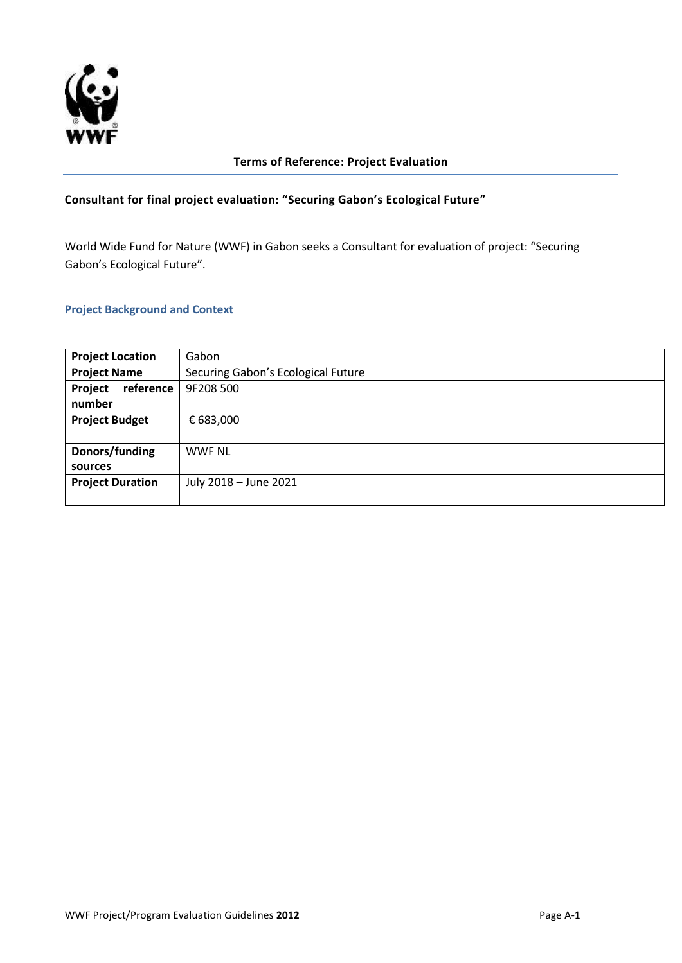

# **Terms of Reference: Project Evaluation**

# **Consultant for final project evaluation: "Securing Gabon's Ecological Future"**

World Wide Fund for Nature (WWF) in Gabon seeks a Consultant for evaluation of project: "Securing Gabon's Ecological Future".

### **Project Background and Context**

| <b>Project Location</b> | Gabon                              |
|-------------------------|------------------------------------|
| <b>Project Name</b>     | Securing Gabon's Ecological Future |
| reference<br>Project    | 9F208 500                          |
| number                  |                                    |
| <b>Project Budget</b>   | € 683,000                          |
|                         |                                    |
| Donors/funding          | <b>WWF NL</b>                      |
| sources                 |                                    |
| <b>Project Duration</b> | July 2018 - June 2021              |
|                         |                                    |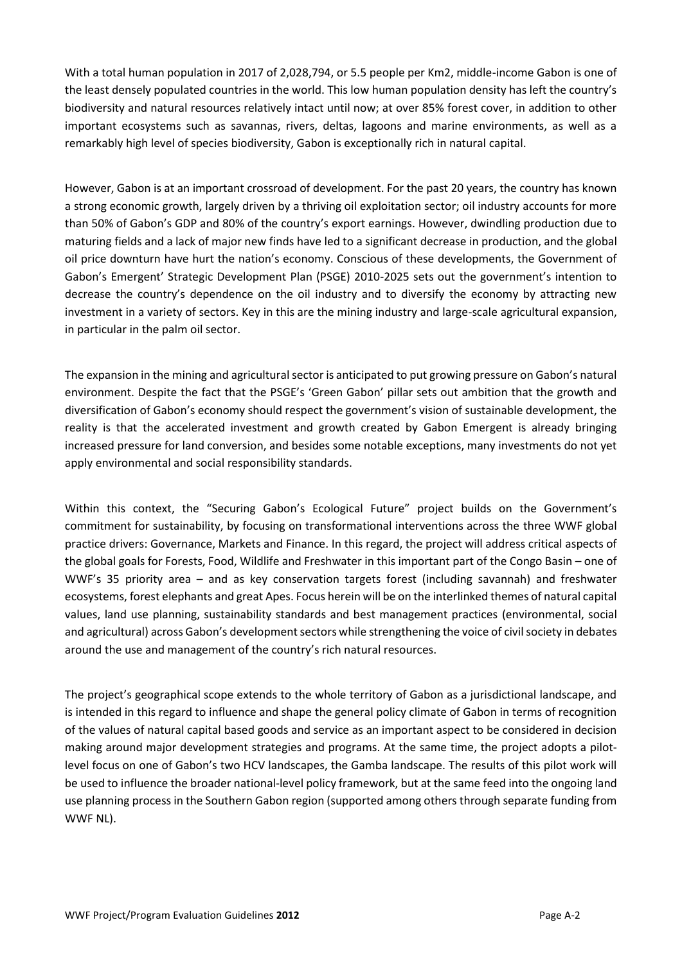With a total human population in 2017 of 2,028,794, or 5.5 people per Km2, middle-income Gabon is one of the least densely populated countries in the world. This low human population density has left the country's biodiversity and natural resources relatively intact until now; at over 85% forest cover, in addition to other important ecosystems such as savannas, rivers, deltas, lagoons and marine environments, as well as a remarkably high level of species biodiversity, Gabon is exceptionally rich in natural capital.

However, Gabon is at an important crossroad of development. For the past 20 years, the country has known a strong economic growth, largely driven by a thriving oil exploitation sector; oil industry accounts for more than 50% of Gabon's GDP and 80% of the country's export earnings. However, dwindling production due to maturing fields and a lack of major new finds have led to a significant decrease in production, and the global oil price downturn have hurt the nation's economy. Conscious of these developments, the Government of Gabon's Emergent' Strategic Development Plan (PSGE) 2010-2025 sets out the government's intention to decrease the country's dependence on the oil industry and to diversify the economy by attracting new investment in a variety of sectors. Key in this are the mining industry and large-scale agricultural expansion, in particular in the palm oil sector.

The expansion in the mining and agricultural sector is anticipated to put growing pressure on Gabon's natural environment. Despite the fact that the PSGE's 'Green Gabon' pillar sets out ambition that the growth and diversification of Gabon's economy should respect the government's vision of sustainable development, the reality is that the accelerated investment and growth created by Gabon Emergent is already bringing increased pressure for land conversion, and besides some notable exceptions, many investments do not yet apply environmental and social responsibility standards.

Within this context, the "Securing Gabon's Ecological Future" project builds on the Government's commitment for sustainability, by focusing on transformational interventions across the three WWF global practice drivers: Governance, Markets and Finance. In this regard, the project will address critical aspects of the global goals for Forests, Food, Wildlife and Freshwater in this important part of the Congo Basin – one of WWF's 35 priority area – and as key conservation targets forest (including savannah) and freshwater ecosystems, forest elephants and great Apes. Focus herein will be on the interlinked themes of natural capital values, land use planning, sustainability standards and best management practices (environmental, social and agricultural) across Gabon's development sectors while strengthening the voice of civil society in debates around the use and management of the country's rich natural resources.

The project's geographical scope extends to the whole territory of Gabon as a jurisdictional landscape, and is intended in this regard to influence and shape the general policy climate of Gabon in terms of recognition of the values of natural capital based goods and service as an important aspect to be considered in decision making around major development strategies and programs. At the same time, the project adopts a pilotlevel focus on one of Gabon's two HCV landscapes, the Gamba landscape. The results of this pilot work will be used to influence the broader national-level policy framework, but at the same feed into the ongoing land use planning process in the Southern Gabon region (supported among others through separate funding from WWF NL).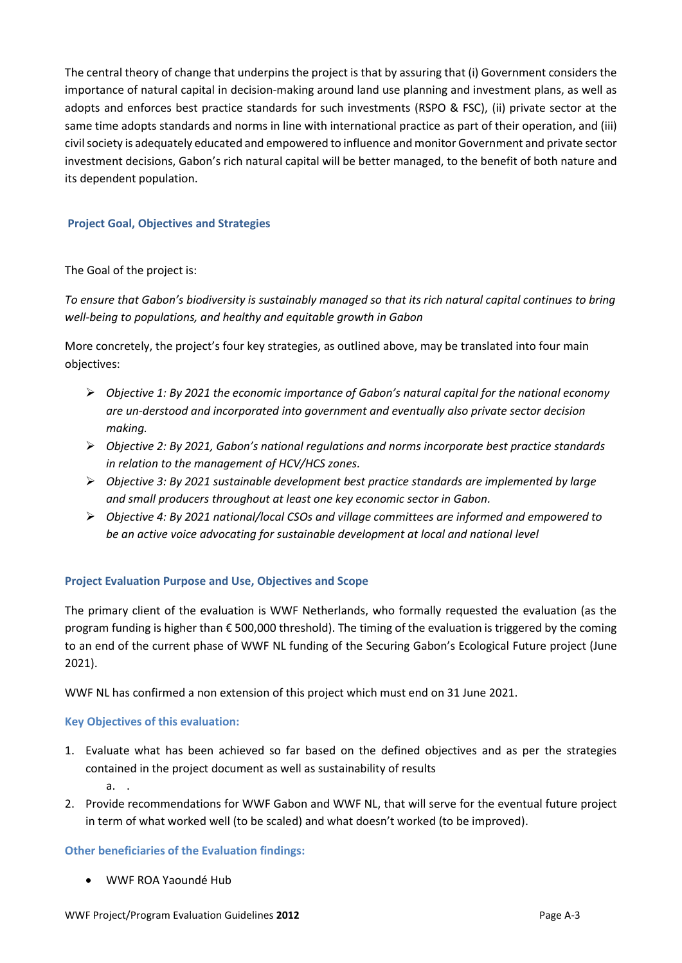The central theory of change that underpins the project is that by assuring that (i) Government considers the importance of natural capital in decision-making around land use planning and investment plans, as well as adopts and enforces best practice standards for such investments (RSPO & FSC), (ii) private sector at the same time adopts standards and norms in line with international practice as part of their operation, and (iii) civil society is adequately educated and empowered to influence and monitor Government and private sector investment decisions, Gabon's rich natural capital will be better managed, to the benefit of both nature and its dependent population.

# **Project Goal, Objectives and Strategies**

### The Goal of the project is:

*To ensure that Gabon's biodiversity is sustainably managed so that its rich natural capital continues to bring well-being to populations, and healthy and equitable growth in Gabon*

More concretely, the project's four key strategies, as outlined above, may be translated into four main objectives:

- *Objective 1: By 2021 the economic importance of Gabon's natural capital for the national economy are un-derstood and incorporated into government and eventually also private sector decision making.*
- *Objective 2: By 2021, Gabon's national regulations and norms incorporate best practice standards in relation to the management of HCV/HCS zones.*
- *Objective 3: By 2021 sustainable development best practice standards are implemented by large and small producers throughout at least one key economic sector in Gabon.*
- *Objective 4: By 2021 national/local CSOs and village committees are informed and empowered to be an active voice advocating for sustainable development at local and national level*

#### **Project Evaluation Purpose and Use, Objectives and Scope**

The primary client of the evaluation is WWF Netherlands, who formally requested the evaluation (as the program funding is higher than € 500,000 threshold). The timing of the evaluation is triggered by the coming to an end of the current phase of WWF NL funding of the Securing Gabon's Ecological Future project (June 2021).

WWF NL has confirmed a non extension of this project which must end on 31 June 2021.

#### **Key Objectives of this evaluation:**

- 1. Evaluate what has been achieved so far based on the defined objectives and as per the strategies contained in the project document as well as sustainability of results a. .
- 2. Provide recommendations for WWF Gabon and WWF NL, that will serve for the eventual future project in term of what worked well (to be scaled) and what doesn't worked (to be improved).

#### **Other beneficiaries of the Evaluation findings:**

WWF ROA Yaoundé Hub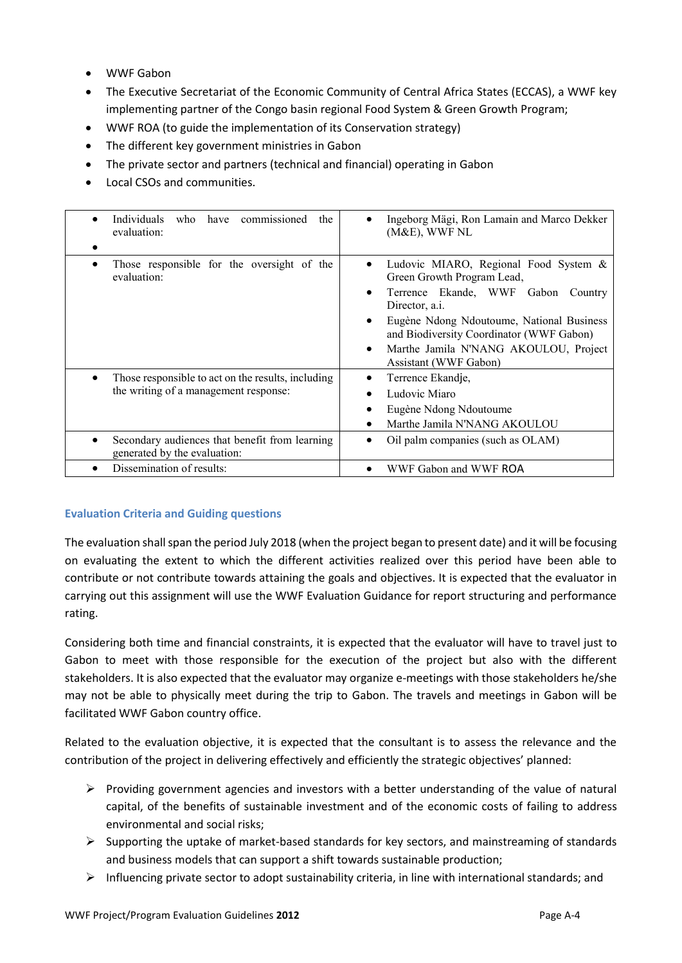- WWF Gabon
- The Executive Secretariat of the Economic Community of Central Africa States (ECCAS), a WWF key implementing partner of the Congo basin regional Food System & Green Growth Program;
- WWF ROA (to guide the implementation of its Conservation strategy)
- The different key government ministries in Gabon
- The private sector and partners (technical and financial) operating in Gabon
- Local CSOs and communities.

| <b>Individuals</b><br>who have commissioned<br>the<br>evaluation:                           | Ingeborg Mägi, Ron Lamain and Marco Dekker<br>(M&E), WWF NL                                                                                                                                                                                                                                                              |
|---------------------------------------------------------------------------------------------|--------------------------------------------------------------------------------------------------------------------------------------------------------------------------------------------------------------------------------------------------------------------------------------------------------------------------|
| Those responsible for the oversight of the<br>evaluation:                                   | Ludovic MIARO, Regional Food System &<br>٠<br>Green Growth Program Lead,<br>Terrence Ekande, WWF Gabon<br>Country<br>Director, a.i.<br>Eugène Ndong Ndoutoume, National Business<br>$\bullet$<br>and Biodiversity Coordinator (WWF Gabon)<br>Marthe Jamila N'NANG AKOULOU, Project<br>$\bullet$<br>Assistant (WWF Gabon) |
| Those responsible to act on the results, including<br>the writing of a management response: | Terrence Ekandje,<br>Ludovic Miaro<br>Eugène Ndong Ndoutoume<br>Marthe Jamila N'NANG AKOULOU                                                                                                                                                                                                                             |
| Secondary audiences that benefit from learning<br>generated by the evaluation:              | Oil palm companies (such as OLAM)                                                                                                                                                                                                                                                                                        |
| Dissemination of results:                                                                   | WWF Gabon and WWF ROA                                                                                                                                                                                                                                                                                                    |

# **Evaluation Criteria and Guiding questions**

The evaluation shall span the period July 2018 (when the project began to present date) and it will be focusing on evaluating the extent to which the different activities realized over this period have been able to contribute or not contribute towards attaining the goals and objectives. It is expected that the evaluator in carrying out this assignment will use the WWF Evaluation Guidance for report structuring and performance rating.

Considering both time and financial constraints, it is expected that the evaluator will have to travel just to Gabon to meet with those responsible for the execution of the project but also with the different stakeholders. It is also expected that the evaluator may organize e-meetings with those stakeholders he/she may not be able to physically meet during the trip to Gabon. The travels and meetings in Gabon will be facilitated WWF Gabon country office.

Related to the evaluation objective, it is expected that the consultant is to assess the relevance and the contribution of the project in delivering effectively and efficiently the strategic objectives' planned:

- $\triangleright$  Providing government agencies and investors with a better understanding of the value of natural capital, of the benefits of sustainable investment and of the economic costs of failing to address environmental and social risks;
- $\triangleright$  Supporting the uptake of market-based standards for key sectors, and mainstreaming of standards and business models that can support a shift towards sustainable production;
- $\triangleright$  Influencing private sector to adopt sustainability criteria, in line with international standards; and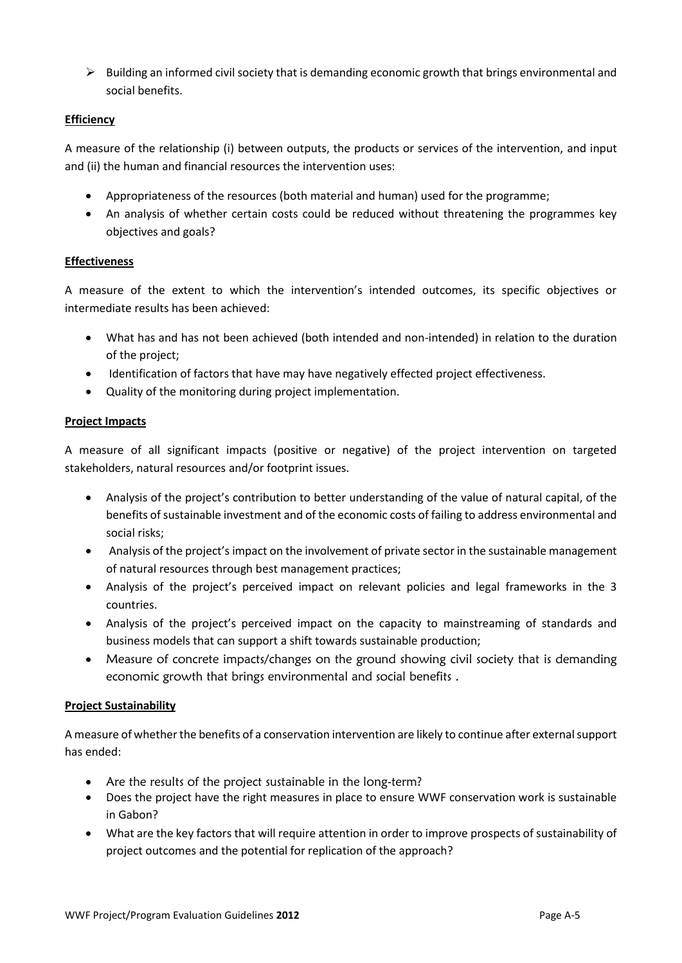$\triangleright$  Building an informed civil society that is demanding economic growth that brings environmental and social benefits.

# **Efficiency**

A measure of the relationship (i) between outputs, the products or services of the intervention, and input and (ii) the human and financial resources the intervention uses:

- Appropriateness of the resources (both material and human) used for the programme;
- An analysis of whether certain costs could be reduced without threatening the programmes key objectives and goals?

# **Effectiveness**

A measure of the extent to which the intervention's intended outcomes, its specific objectives or intermediate results has been achieved:

- What has and has not been achieved (both intended and non-intended) in relation to the duration of the project;
- Identification of factors that have may have negatively effected project effectiveness.
- Quality of the monitoring during project implementation.

# **Project Impacts**

A measure of all significant impacts (positive or negative) of the project intervention on targeted stakeholders, natural resources and/or footprint issues.

- Analysis of the project's contribution to better understanding of the value of natural capital, of the benefits of sustainable investment and of the economic costs of failing to address environmental and social risks;
- Analysis of the project's impact on the involvement of private sector in the sustainable management of natural resources through best management practices;
- Analysis of the project's perceived impact on relevant policies and legal frameworks in the 3 countries.
- Analysis of the project's perceived impact on the capacity to mainstreaming of standards and business models that can support a shift towards sustainable production;
- Measure of concrete impacts/changes on the ground showing civil society that is demanding economic growth that brings environmental and social benefits .

# **Project Sustainability**

A measure of whether the benefits of a conservation intervention are likely to continue after external support has ended:

- Are the results of the project sustainable in the long-term?
- Does the project have the right measures in place to ensure WWF conservation work is sustainable in Gabon?
- What are the key factors that will require attention in order to improve prospects of sustainability of project outcomes and the potential for replication of the approach?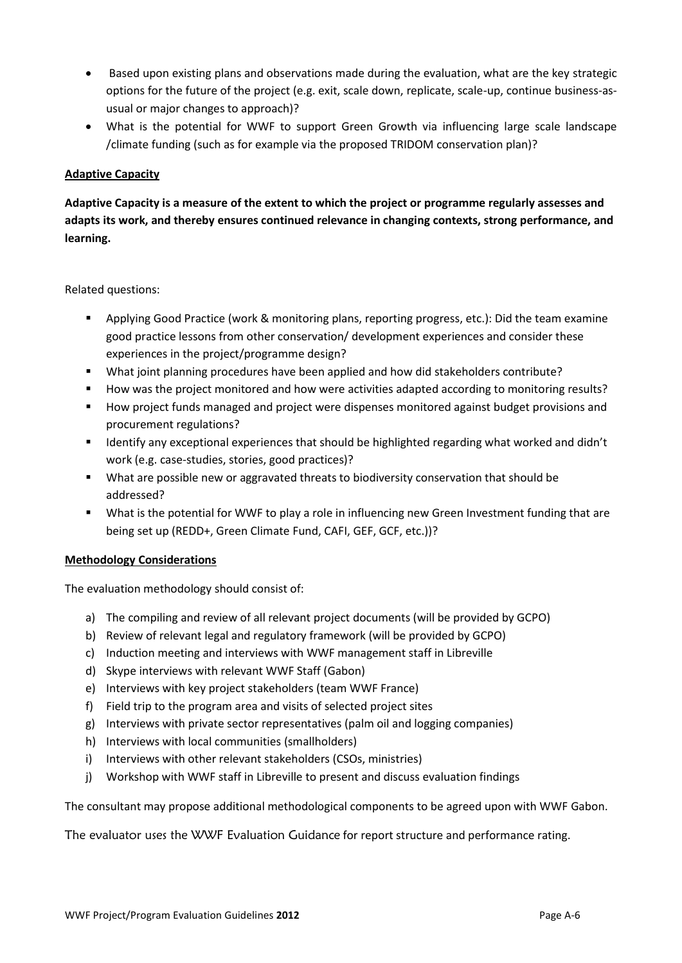- Based upon existing plans and observations made during the evaluation, what are the key strategic options for the future of the project (e.g. exit, scale down, replicate, scale-up, continue business-asusual or major changes to approach)?
- What is the potential for WWF to support Green Growth via influencing large scale landscape /climate funding (such as for example via the proposed TRIDOM conservation plan)?

# **Adaptive Capacity**

**Adaptive Capacity is a measure of the extent to which the project or programme regularly assesses and adapts its work, and thereby ensures continued relevance in changing contexts, strong performance, and learning.** 

Related questions:

- Applying Good Practice (work & monitoring plans, reporting progress, etc.): Did the team examine good practice lessons from other conservation/ development experiences and consider these experiences in the project/programme design?
- What joint planning procedures have been applied and how did stakeholders contribute?
- How was the project monitored and how were activities adapted according to monitoring results?
- How project funds managed and project were dispenses monitored against budget provisions and procurement regulations?
- Identify any exceptional experiences that should be highlighted regarding what worked and didn't work (e.g. case-studies, stories, good practices)?
- What are possible new or aggravated threats to biodiversity conservation that should be addressed?
- What is the potential for WWF to play a role in influencing new Green Investment funding that are being set up (REDD+, Green Climate Fund, CAFI, GEF, GCF, etc.))?

#### **Methodology Considerations**

The evaluation methodology should consist of:

- a) The compiling and review of all relevant project documents (will be provided by GCPO)
- b) Review of relevant legal and regulatory framework (will be provided by GCPO)
- c) Induction meeting and interviews with WWF management staff in Libreville
- d) Skype interviews with relevant WWF Staff (Gabon)
- e) Interviews with key project stakeholders (team WWF France)
- f) Field trip to the program area and visits of selected project sites
- g) Interviews with private sector representatives (palm oil and logging companies)
- h) Interviews with local communities (smallholders)
- i) Interviews with other relevant stakeholders (CSOs, ministries)
- j) Workshop with WWF staff in Libreville to present and discuss evaluation findings

The consultant may propose additional methodological components to be agreed upon with WWF Gabon.

The evaluator uses the WWF Evaluation Guidance for report structure and performance rating.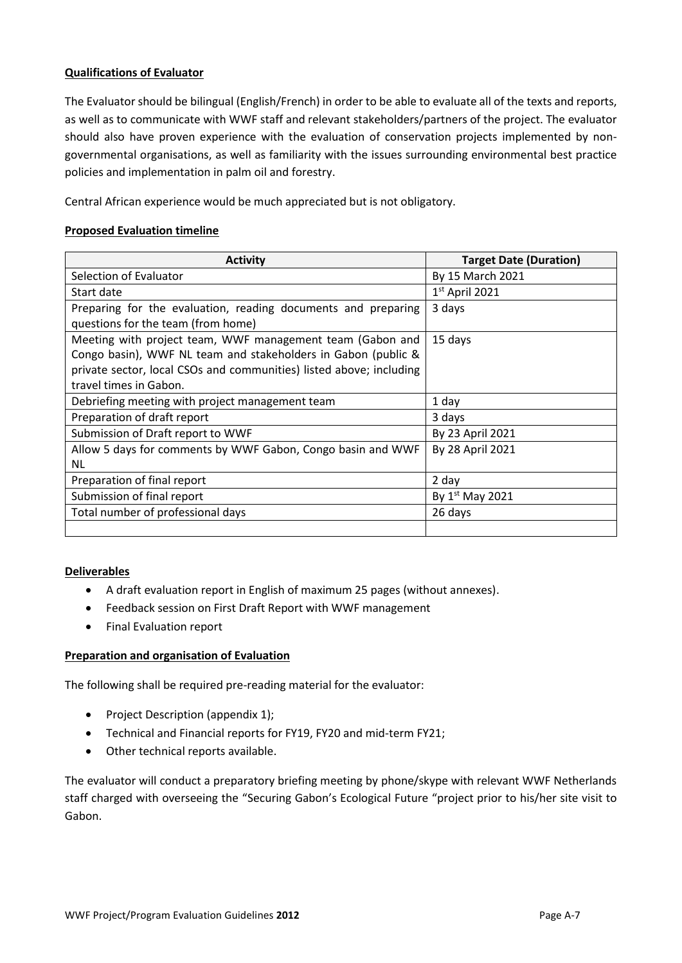# **Qualifications of Evaluator**

The Evaluator should be bilingual (English/French) in order to be able to evaluate all of the texts and reports, as well as to communicate with WWF staff and relevant stakeholders/partners of the project. The evaluator should also have proven experience with the evaluation of conservation projects implemented by nongovernmental organisations, as well as familiarity with the issues surrounding environmental best practice policies and implementation in palm oil and forestry.

Central African experience would be much appreciated but is not obligatory.

### **Proposed Evaluation timeline**

| <b>Activity</b>                                                     | <b>Target Date (Duration)</b> |  |  |
|---------------------------------------------------------------------|-------------------------------|--|--|
| Selection of Evaluator                                              | By 15 March 2021              |  |  |
| Start date                                                          | $1st$ April 2021              |  |  |
| Preparing for the evaluation, reading documents and preparing       | 3 days                        |  |  |
| questions for the team (from home)                                  |                               |  |  |
| Meeting with project team, WWF management team (Gabon and           | 15 days                       |  |  |
| Congo basin), WWF NL team and stakeholders in Gabon (public &       |                               |  |  |
| private sector, local CSOs and communities) listed above; including |                               |  |  |
| travel times in Gabon.                                              |                               |  |  |
| Debriefing meeting with project management team                     | 1 day                         |  |  |
| Preparation of draft report                                         | 3 days                        |  |  |
| Submission of Draft report to WWF                                   | By 23 April 2021              |  |  |
| Allow 5 days for comments by WWF Gabon, Congo basin and WWF         | By 28 April 2021              |  |  |
| NL.                                                                 |                               |  |  |
| Preparation of final report                                         | 2 day                         |  |  |
| Submission of final report                                          | By $1st$ May 2021             |  |  |
| Total number of professional days                                   | 26 days                       |  |  |
|                                                                     |                               |  |  |

#### **Deliverables**

- A draft evaluation report in English of maximum 25 pages (without annexes).
- Feedback session on First Draft Report with WWF management
- Final Evaluation report

### **Preparation and organisation of Evaluation**

The following shall be required pre-reading material for the evaluator:

- Project Description (appendix 1);
- Technical and Financial reports for FY19, FY20 and mid-term FY21;
- Other technical reports available.

The evaluator will conduct a preparatory briefing meeting by phone/skype with relevant WWF Netherlands staff charged with overseeing the "Securing Gabon's Ecological Future "project prior to his/her site visit to Gabon.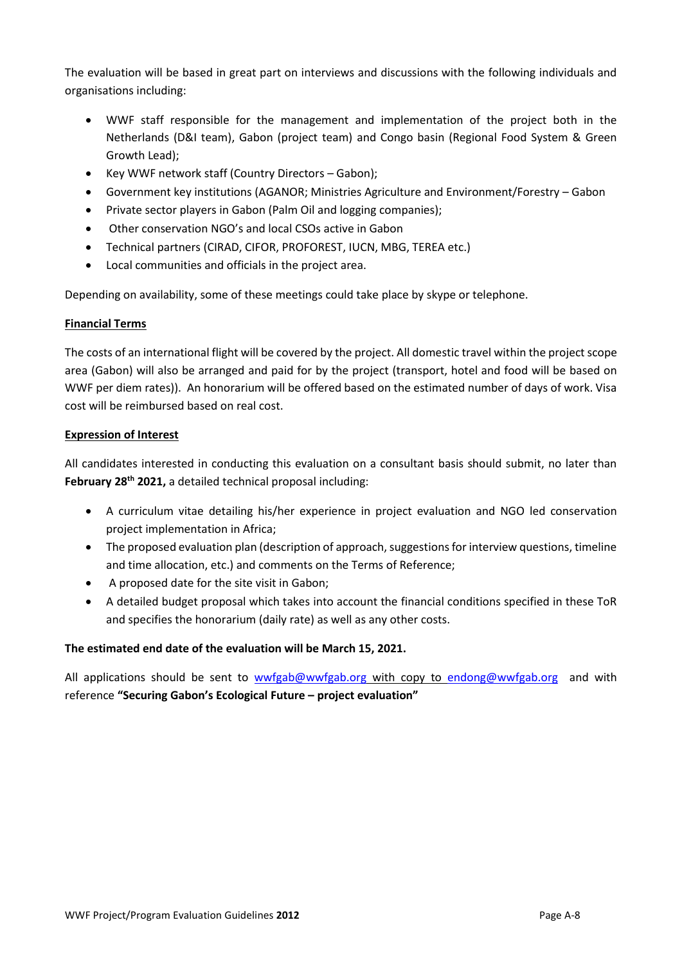The evaluation will be based in great part on interviews and discussions with the following individuals and organisations including:

- WWF staff responsible for the management and implementation of the project both in the Netherlands (D&I team), Gabon (project team) and Congo basin (Regional Food System & Green Growth Lead);
- Key WWF network staff (Country Directors Gabon);
- Government key institutions (AGANOR; Ministries Agriculture and Environment/Forestry Gabon
- Private sector players in Gabon (Palm Oil and logging companies);
- Other conservation NGO's and local CSOs active in Gabon
- Technical partners (CIRAD, CIFOR, PROFOREST, IUCN, MBG, TEREA etc.)
- Local communities and officials in the project area.

Depending on availability, some of these meetings could take place by skype or telephone.

# **Financial Terms**

The costs of an international flight will be covered by the project. All domestic travel within the project scope area (Gabon) will also be arranged and paid for by the project (transport, hotel and food will be based on WWF per diem rates)). An honorarium will be offered based on the estimated number of days of work. Visa cost will be reimbursed based on real cost.

# **Expression of Interest**

All candidates interested in conducting this evaluation on a consultant basis should submit, no later than **February 28th 2021,** a detailed technical proposal including:

- A curriculum vitae detailing his/her experience in project evaluation and NGO led conservation project implementation in Africa;
- The proposed evaluation plan (description of approach, suggestions for interview questions, timeline and time allocation, etc.) and comments on the Terms of Reference;
- A proposed date for the site visit in Gabon;
- A detailed budget proposal which takes into account the financial conditions specified in these ToR and specifies the honorarium (daily rate) as well as any other costs.

# **The estimated end date of the evaluation will be March 15, 2021.**

All applications should be sent to [wwfgab@wwfgab.org](mailto:wwfgab@wwfgab.org) with copy to [endong@wwfgab.org](mailto:endong@wwfgab.org) and with reference **"Securing Gabon's Ecological Future – project evaluation"**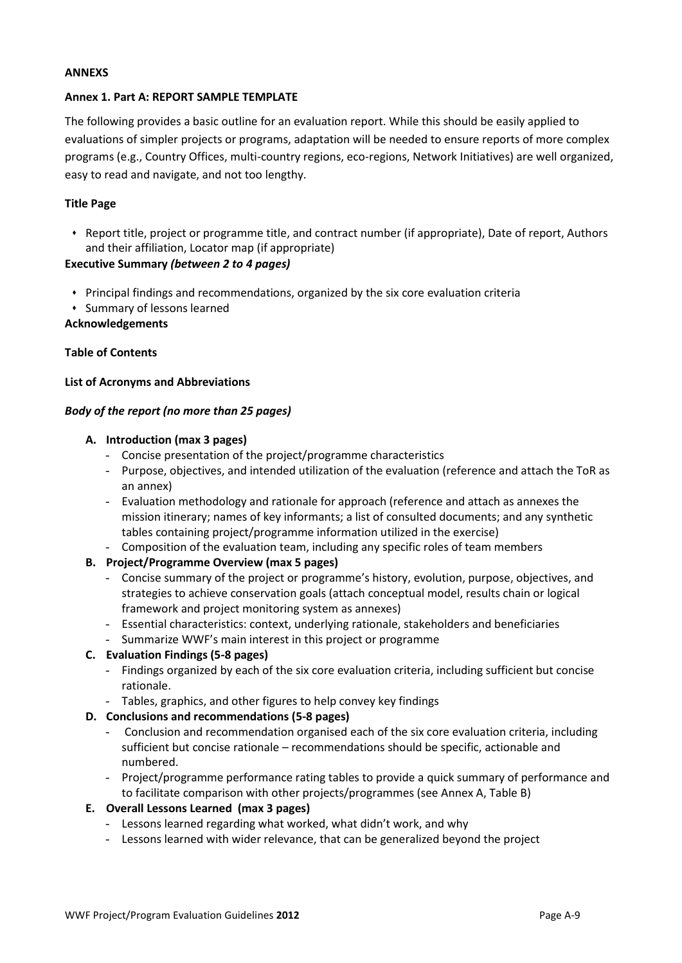#### **ANNEXS**

#### **Annex 1. Part A: REPORT SAMPLE TEMPLATE**

The following provides a basic outline for an evaluation report. While this should be easily applied to evaluations of simpler projects or programs, adaptation will be needed to ensure reports of more complex programs (e.g., Country Offices, multi-country regions, eco-regions, Network Initiatives) are well organized, easy to read and navigate, and not too lengthy.

### **Title Page**

 Report title, project or programme title, and contract number (if appropriate), Date of report, Authors and their affiliation, Locator map (if appropriate)

### **Executive Summary** *(between 2 to 4 pages)*

- Principal findings and recommendations, organized by the six core evaluation criteria
- Summary of lessons learned

#### **Acknowledgements**

### **Table of Contents**

#### **List of Acronyms and Abbreviations**

### *Body of the report (no more than 25 pages)*

### **A. Introduction (max 3 pages)**

- Concise presentation of the project/programme characteristics
- Purpose, objectives, and intended utilization of the evaluation (reference and attach the ToR as an annex)
- Evaluation methodology and rationale for approach (reference and attach as annexes the mission itinerary; names of key informants; a list of consulted documents; and any synthetic tables containing project/programme information utilized in the exercise)
- Composition of the evaluation team, including any specific roles of team members

# **B. Project/Programme Overview (max 5 pages)**

- Concise summary of the project or programme's history, evolution, purpose, objectives, and strategies to achieve conservation goals (attach conceptual model, results chain or logical framework and project monitoring system as annexes)
- Essential characteristics: context, underlying rationale, stakeholders and beneficiaries
- Summarize WWF's main interest in this project or programme

#### **C. Evaluation Findings (5-8 pages)**

- Findings organized by each of the six core evaluation criteria, including sufficient but concise rationale.
- Tables, graphics, and other figures to help convey key findings

#### **D. Conclusions and recommendations (5-8 pages)**

- Conclusion and recommendation organised each of the six core evaluation criteria, including sufficient but concise rationale – recommendations should be specific, actionable and numbered.
- Project/programme performance rating tables to provide a quick summary of performance and to facilitate comparison with other projects/programmes (see Annex A, Table B)
- **E. Overall Lessons Learned (max 3 pages)**
	- Lessons learned regarding what worked, what didn't work, and why
	- Lessons learned with wider relevance, that can be generalized beyond the project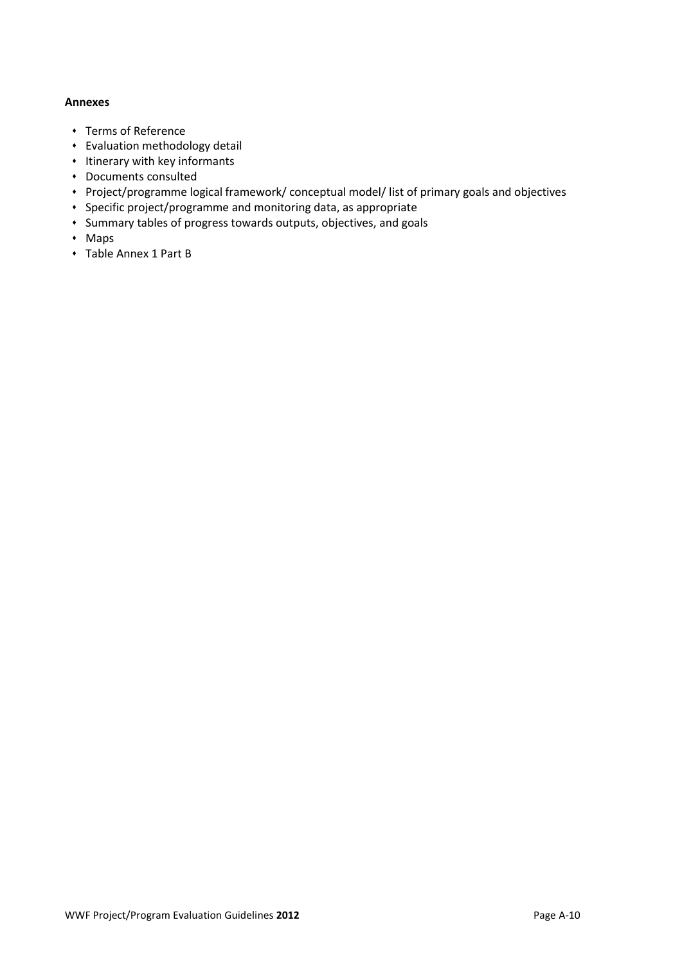#### **Annexes**

- Terms of Reference
- Evaluation methodology detail
- $\cdot$  Itinerary with key informants
- Documents consulted
- Project/programme logical framework/ conceptual model/ list of primary goals and objectives
- Specific project/programme and monitoring data, as appropriate
- Summary tables of progress towards outputs, objectives, and goals
- Maps
- Table Annex 1 Part B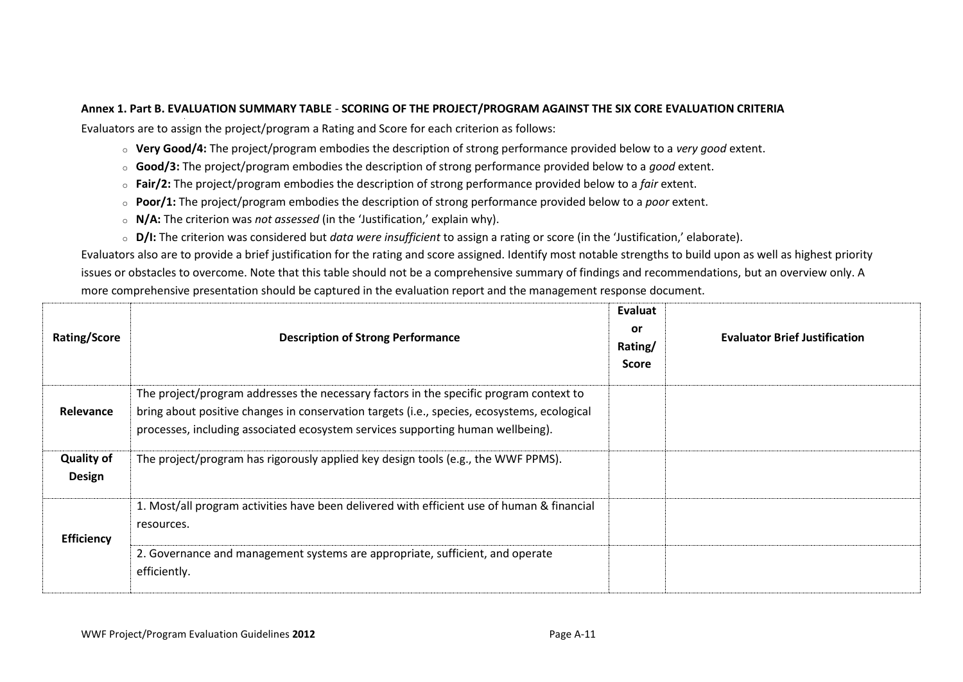### **Annex 1. Part B. EVALUATION SUMMARY TABLE** - **SCORING OF THE PROJECT/PROGRAM AGAINST THE SIX CORE EVALUATION CRITERIA**

Evaluators are to assign the project/program a Rating and Score for each criterion as follows:

- o **Very Good/4:** The project/program embodies the description of strong performance provided below to a *very good* extent.
- o **Good/3:** The project/program embodies the description of strong performance provided below to a *good* extent.
- o **Fair/2:** The project/program embodies the description of strong performance provided below to a *fair* extent.
- o **Poor/1:** The project/program embodies the description of strong performance provided below to a *poor* extent.
- o **N/A:** The criterion was *not assessed* (in the 'Justification,' explain why).
- o **D/I:** The criterion was considered but *data were insufficient* to assign a rating or score (in the 'Justification,' elaborate).

Evaluators also are to provide a brief justification for the rating and score assigned. Identify most notable strengths to build upon as well as highest priority issues or obstacles to overcome. Note that this table should not be a comprehensive summary of findings and recommendations, but an overview only. A more comprehensive presentation should be captured in the evaluation report and the management response document.

| <b>Rating/Score</b>                | <b>Description of Strong Performance</b>                                                                                                                                                                                                                                 | Evaluat<br>or.<br>Rating/<br><b>Score</b> | <b>Evaluator Brief Justification</b> |
|------------------------------------|--------------------------------------------------------------------------------------------------------------------------------------------------------------------------------------------------------------------------------------------------------------------------|-------------------------------------------|--------------------------------------|
| Relevance                          | The project/program addresses the necessary factors in the specific program context to<br>bring about positive changes in conservation targets (i.e., species, ecosystems, ecological<br>processes, including associated ecosystem services supporting human wellbeing). |                                           |                                      |
| <b>Quality of</b><br><b>Design</b> | The project/program has rigorously applied key design tools (e.g., the WWF PPMS).                                                                                                                                                                                        |                                           |                                      |
| <b>Efficiency</b>                  | 1. Most/all program activities have been delivered with efficient use of human & financial<br>resources.                                                                                                                                                                 |                                           |                                      |
|                                    | 2. Governance and management systems are appropriate, sufficient, and operate<br>efficiently.                                                                                                                                                                            |                                           |                                      |